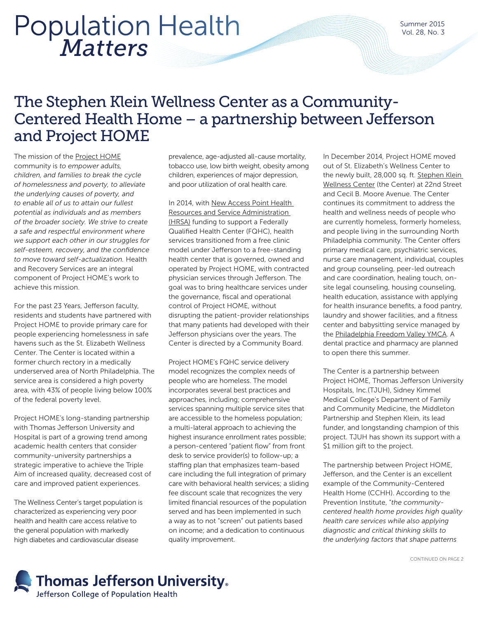# *Matters* Population Health

### The Stephen Klein Wellness Center as a Community-Centered Health Home – a partnership between Jefferson and Project HOME

The mission of the [Project HOME](https://projecthome.org/) community is *to empower adults, children, and families to break the cycle of homelessness and poverty, to alleviate the underlying causes of poverty, and to enable all of us to attain our fullest potential as individuals and as members of the broader society. We strive to create a safe and respectful environment where we support each other in our struggles for self-esteem, recovery, and the confidence to move toward self-actualization.* Health and Recovery Services are an integral component of Project HOME's work to achieve this mission.

For the past 23 Years, Jefferson faculty, residents and students have partnered with Project HOME to provide primary care for people experiencing homelessness in safe havens such as the St. Elizabeth Wellness Center. The Center is located within a former church rectory in a medically underserved area of North Philadelphia. The service area is considered a high poverty area, with 43% of people living below 100% of the federal poverty level.

Project HOME's long-standing partnership with Thomas Jefferson University and Hospital is part of a growing trend among academic health centers that consider community-university partnerships a strategic imperative to achieve the Triple Aim of increased quality, decreased cost of care and improved patient experiences.

The Wellness Center's target population is characterized as experiencing very poor health and health care access relative to the general population with markedly high diabetes and cardiovascular disease

prevalence, age-adjusted all-cause mortality, tobacco use, low birth weight, obesity among children, experiences of major depression, and poor utilization of oral health care.

In 2014, with [New Access Point Health](http://bphc.hrsa.gov/programopportunities/fundingopportunities/NAP/index.html)  [Resources and Service Administration](http://bphc.hrsa.gov/programopportunities/fundingopportunities/NAP/index.html)  [\(HRSA\)](http://bphc.hrsa.gov/programopportunities/fundingopportunities/NAP/index.html) funding to support a Federally Qualified Health Center (FQHC), health services transitioned from a free clinic model under Jefferson to a free-standing health center that is governed, owned and operated by Project HOME, with contracted physician services through Jefferson. The goal was to bring healthcare services under the governance, fiscal and operational control of Project HOME, without disrupting the patient-provider relationships that many patients had developed with their Jefferson physicians over the years. The Center is directed by a Community Board.

Project HOME's FQHC service delivery model recognizes the complex needs of people who are homeless. The model incorporates several best practices and approaches, including; comprehensive services spanning multiple service sites that are accessible to the homeless population; a multi-lateral approach to achieving the highest insurance enrollment rates possible; a person-centered "patient flow" from front desk to service provider(s) to follow-up; a staffing plan that emphasizes team-based care including the full integration of primary care with behavioral health services; a sliding fee discount scale that recognizes the very limited financial resources of the population served and has been implemented in such a way as to not "screen" out patients based on income; and a dedication to continuous quality improvement.

In December 2014, Project HOME moved out of St. Elizabeth's Wellness Center to the newly built, 28,000 sq. ft. [Stephen Klein](https://projecthome.org/skwc)  [Wellness Center](https://projecthome.org/skwc) (the Center) at 22nd Street and Cecil B. Moore Avenue. The Center continues its commitment to address the health and wellness needs of people who are currently homeless, formerly homeless, and people living in the surrounding North Philadelphia community. The Center offers primary medical care, psychiatric services, nurse care management, individual, couples and group counseling, peer-led outreach and care coordination, healing touch, onsite legal counseling, housing counseling, health education, assistance with applying for health insurance benefits, a food pantry, laundry and shower facilities, and a fitness center and babysitting service managed by the [Philadelphia Freedom Valley YMCA](https://philaymca.org/). A dental practice and pharmacy are planned to open there this summer.

The Center is a partnership between Project HOME, Thomas Jefferson University Hospitals, Inc.(TJUH), Sidney Kimmel Medical College's Department of Family and Community Medicine, the Middleton Partnership and Stephen Klein, its lead funder, and longstanding champion of this project. TJUH has shown its support with a \$1 million gift to the project.

The partnership between Project HOME, Jefferson, and the Center is an excellent example of the Community-Centered Health Home (CCHH). According to the Prevention Institute, "*the communitycentered health home provides high quality health care services while also applying diagnostic and critical thinking skills to the underlying factors that shape patterns*